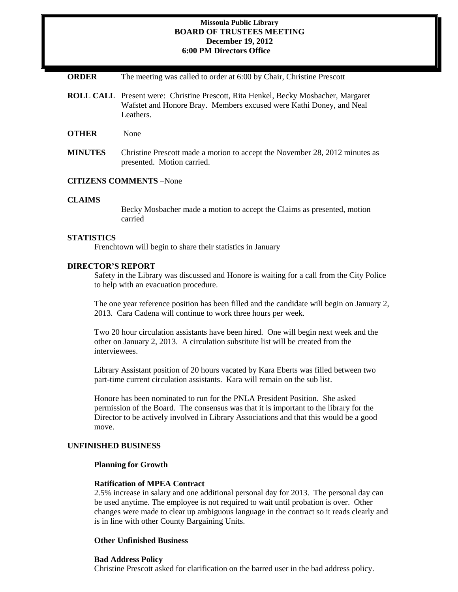### **Missoula Public Library BOARD OF TRUSTEES MEETING December 19, 2012 6:00 PM Directors Office**

**ORDER** The meeting was called to order at 6:00 by Chair, Christine Prescott

- **ROLL CALL** Present were: Christine Prescott, Rita Henkel, Becky Mosbacher, Margaret Wafstet and Honore Bray. Members excused were Kathi Doney, and Neal Leathers.
- **OTHER** None
- **MINUTES** Christine Prescott made a motion to accept the November 28, 2012 minutes as presented. Motion carried.

### **CITIZENS COMMENTS** –None

#### **CLAIMS**

Becky Mosbacher made a motion to accept the Claims as presented, motion carried

### **STATISTICS**

Frenchtown will begin to share their statistics in January

#### **DIRECTOR'S REPORT**

Safety in the Library was discussed and Honore is waiting for a call from the City Police to help with an evacuation procedure.

The one year reference position has been filled and the candidate will begin on January 2, 2013. Cara Cadena will continue to work three hours per week.

Two 20 hour circulation assistants have been hired. One will begin next week and the other on January 2, 2013. A circulation substitute list will be created from the interviewees.

Library Assistant position of 20 hours vacated by Kara Eberts was filled between two part-time current circulation assistants. Kara will remain on the sub list.

Honore has been nominated to run for the PNLA President Position. She asked permission of the Board. The consensus was that it is important to the library for the Director to be actively involved in Library Associations and that this would be a good move.

# **UNFINISHED BUSINESS**

# **Planning for Growth**

#### **Ratification of MPEA Contract**

2.5% increase in salary and one additional personal day for 2013. The personal day can be used anytime. The employee is not required to wait until probation is over. Other changes were made to clear up ambiguous language in the contract so it reads clearly and is in line with other County Bargaining Units.

#### **Other Unfinished Business**

#### **Bad Address Policy**

Christine Prescott asked for clarification on the barred user in the bad address policy.